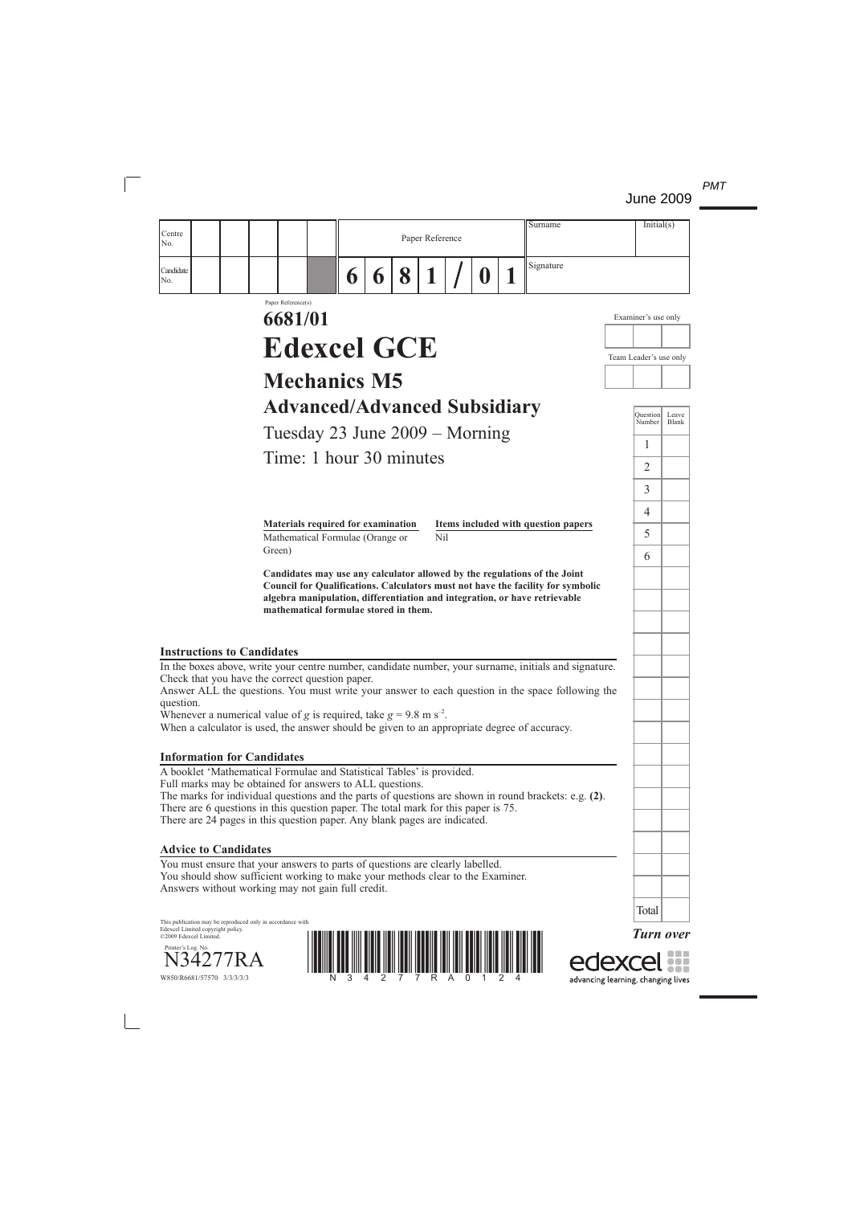

advancing learning, changing lives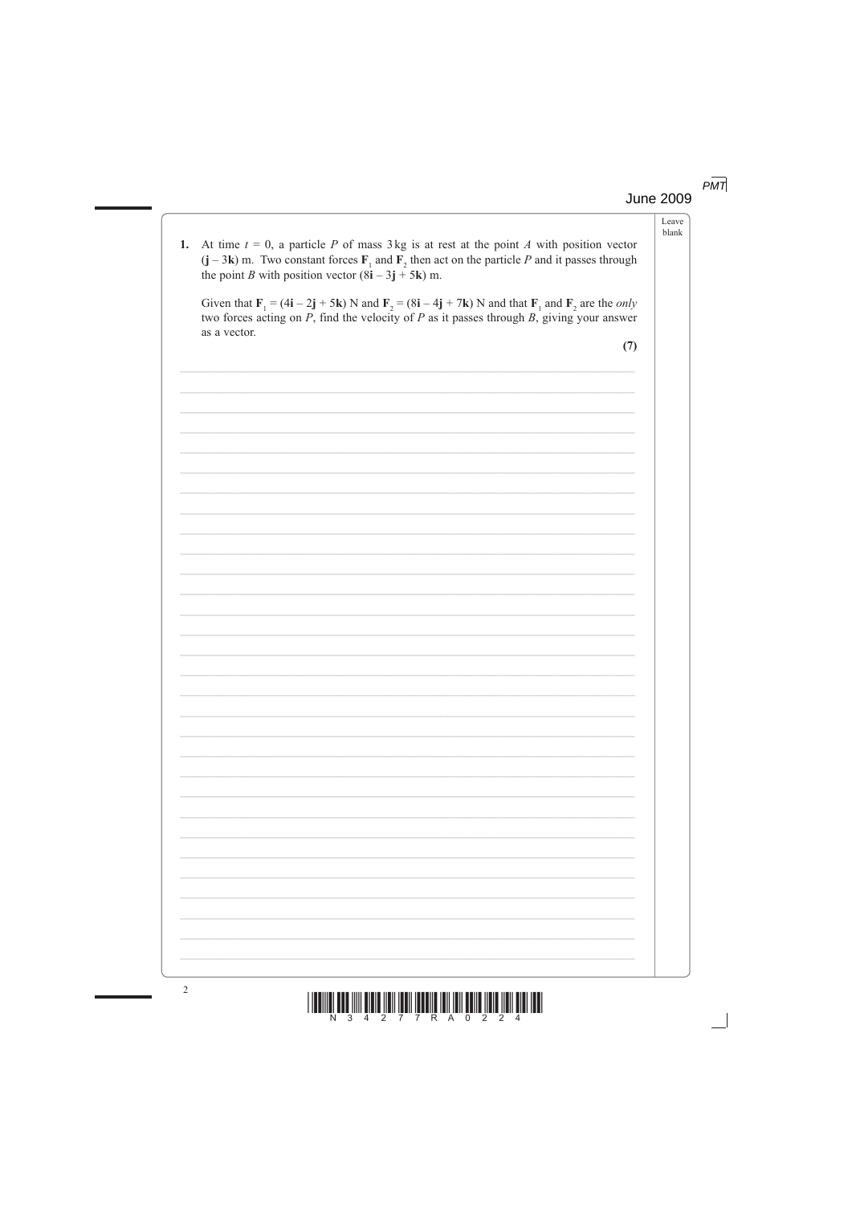#### $PMT$ **June 2009**

|    |                                                                                                                                                                                                                                                                                                                              | Leave<br>blank |
|----|------------------------------------------------------------------------------------------------------------------------------------------------------------------------------------------------------------------------------------------------------------------------------------------------------------------------------|----------------|
| 1. | At time $t = 0$ , a particle P of mass 3 kg is at rest at the point A with position vector<br>$(j - 3k)$ m. Two constant forces $F_1$ and $F_2$ then act on the particle P and it passes through<br>the point <i>B</i> with position vector $(8i - 3j + 5k)$ m.                                                              |                |
|    | Given that $\mathbf{F}_1 = (4\mathbf{i} - 2\mathbf{j} + 5\mathbf{k})$ N and $\mathbf{F}_2 = (8\mathbf{i} - 4\mathbf{j} + 7\mathbf{k})$ N and that $\mathbf{F}_1$ and $\mathbf{F}_2$ are the <i>only</i><br>two forces acting on $P$ , find the velocity of $P$ as it passes through $B$ , giving your answer<br>as a vector. |                |
|    | (7)                                                                                                                                                                                                                                                                                                                          |                |
|    |                                                                                                                                                                                                                                                                                                                              |                |
|    |                                                                                                                                                                                                                                                                                                                              |                |
|    |                                                                                                                                                                                                                                                                                                                              |                |
|    |                                                                                                                                                                                                                                                                                                                              |                |
|    |                                                                                                                                                                                                                                                                                                                              |                |
|    |                                                                                                                                                                                                                                                                                                                              |                |
|    |                                                                                                                                                                                                                                                                                                                              |                |
|    |                                                                                                                                                                                                                                                                                                                              |                |
|    |                                                                                                                                                                                                                                                                                                                              |                |
|    |                                                                                                                                                                                                                                                                                                                              |                |
|    |                                                                                                                                                                                                                                                                                                                              |                |
|    |                                                                                                                                                                                                                                                                                                                              |                |
|    |                                                                                                                                                                                                                                                                                                                              |                |
|    |                                                                                                                                                                                                                                                                                                                              |                |
|    |                                                                                                                                                                                                                                                                                                                              |                |
|    |                                                                                                                                                                                                                                                                                                                              |                |
|    |                                                                                                                                                                                                                                                                                                                              |                |
|    |                                                                                                                                                                                                                                                                                                                              |                |
|    |                                                                                                                                                                                                                                                                                                                              |                |
|    |                                                                                                                                                                                                                                                                                                                              |                |
|    |                                                                                                                                                                                                                                                                                                                              |                |
|    |                                                                                                                                                                                                                                                                                                                              |                |
|    |                                                                                                                                                                                                                                                                                                                              |                |

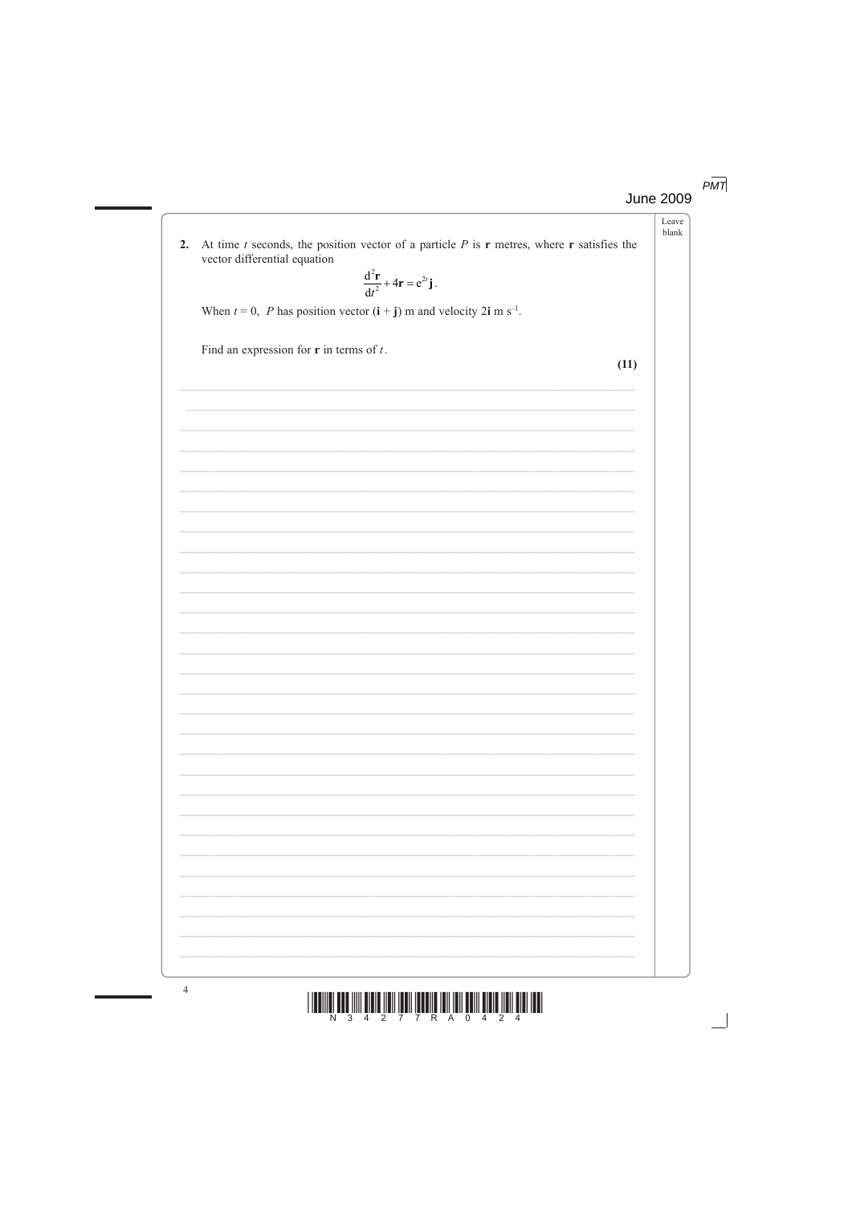$PMT$ 

**June 2009** 

Leave blank

At time  $t$  seconds, the position vector of a particle  $P$  is  $\bf{r}$  metres, where  $\bf{r}$  satisfies the  $2.$ vector differential equation

$$
\frac{\mathrm{d}^2\mathbf{r}}{\mathrm{d}t^2} + 4\mathbf{r} = e^{2t}\mathbf{j}.
$$

When  $t = 0$ , P has position vector  $(i + j)$  m and velocity 2i m s<sup>-1</sup>.

Find an expression for  $\bf{r}$  in terms of  $t$ .

 $(11)$ 

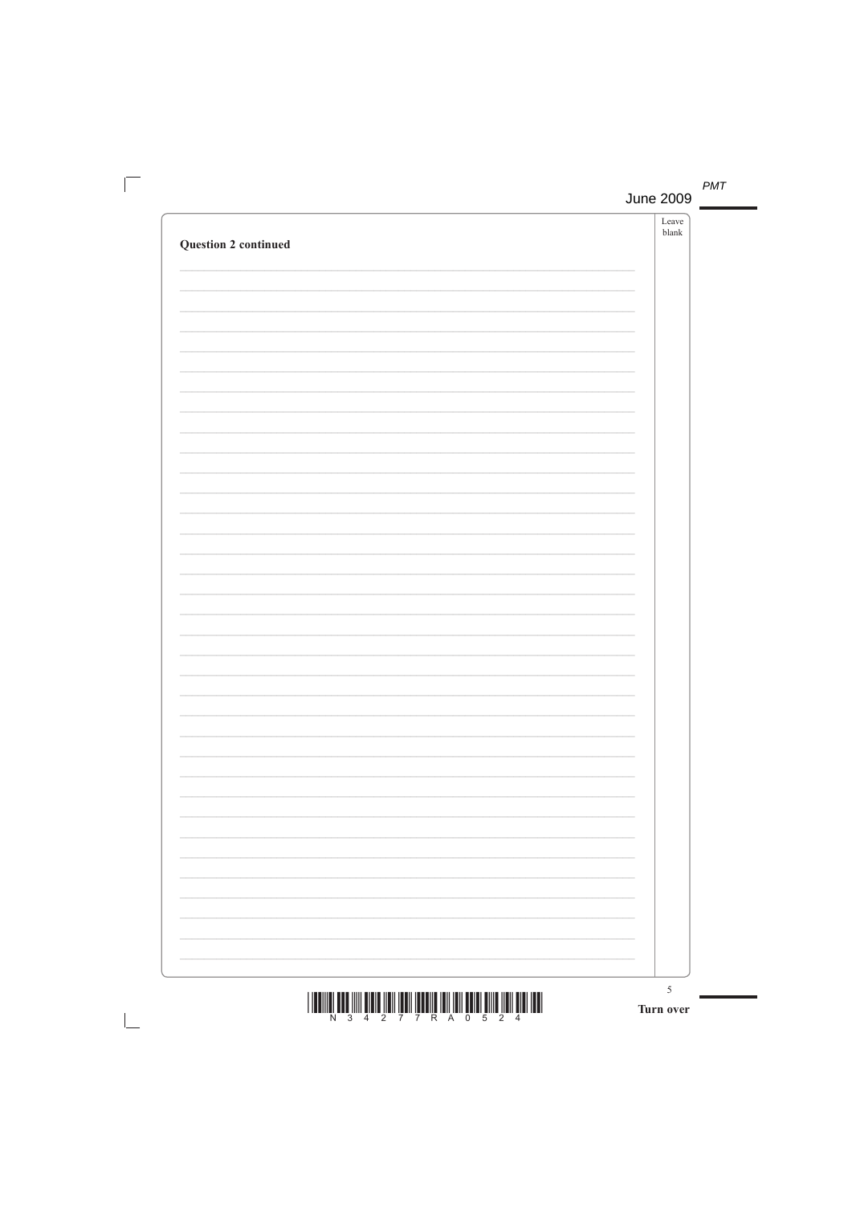|                             | ${\it Leave}$<br>${\it blank}$ |
|-----------------------------|--------------------------------|
| <b>Question 2 continued</b> |                                |
|                             |                                |
|                             |                                |
|                             |                                |
|                             |                                |
|                             |                                |
|                             |                                |
|                             |                                |
|                             |                                |
|                             |                                |
|                             |                                |
|                             |                                |
|                             |                                |
|                             |                                |
|                             |                                |
|                             |                                |
|                             |                                |
|                             |                                |
|                             |                                |
|                             |                                |
|                             |                                |
|                             |                                |
|                             |                                |
|                             |                                |
|                             |                                |
|                             |                                |
|                             |                                |
|                             |                                |
|                             |                                |
|                             |                                |
|                             |                                |
|                             |                                |
|                             |                                |
|                             |                                |
|                             |                                |
|                             |                                |
|                             | $\overline{5}$                 |

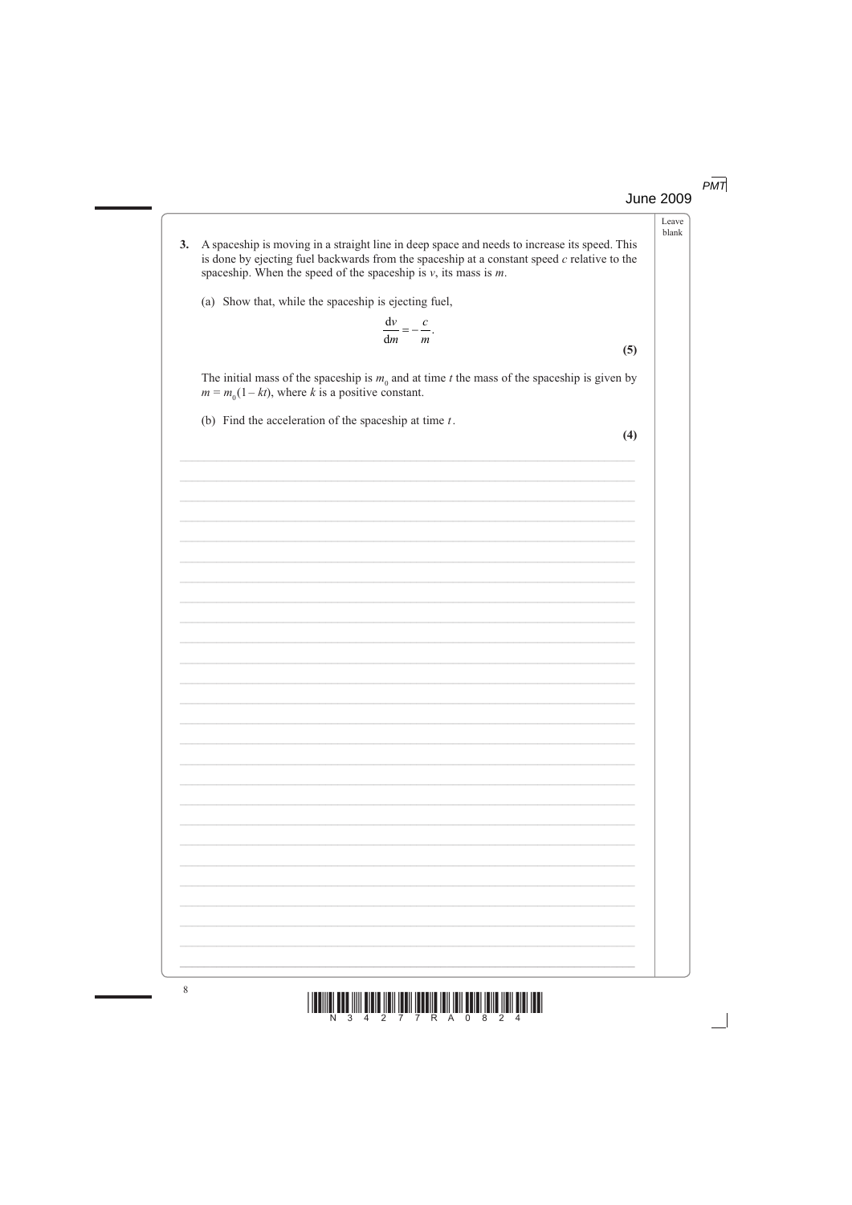$PMT$ **June 2009** 

> Leave blank

- A spaceship is moving in a straight line in deep space and needs to increase its speed. This  $3.$ is done by ejecting fuel backwards from the spaceship at a constant speed  $c$  relative to the spaceship. When the speed of the spaceship is  $v$ , its mass is  $m$ .
	- (a) Show that, while the spaceship is ejecting fuel,

$$
\frac{\mathrm{d}v}{\mathrm{d}m} = -\frac{c}{m}.
$$

The initial mass of the spaceship is  $m_0$  and at time t the mass of the spaceship is given by  $m = m<sub>0</sub>(1 - kt)$ , where k is a positive constant.

(b) Find the acceleration of the spaceship at time  $t$ .

 $(4)$ 

 $(5)$ 

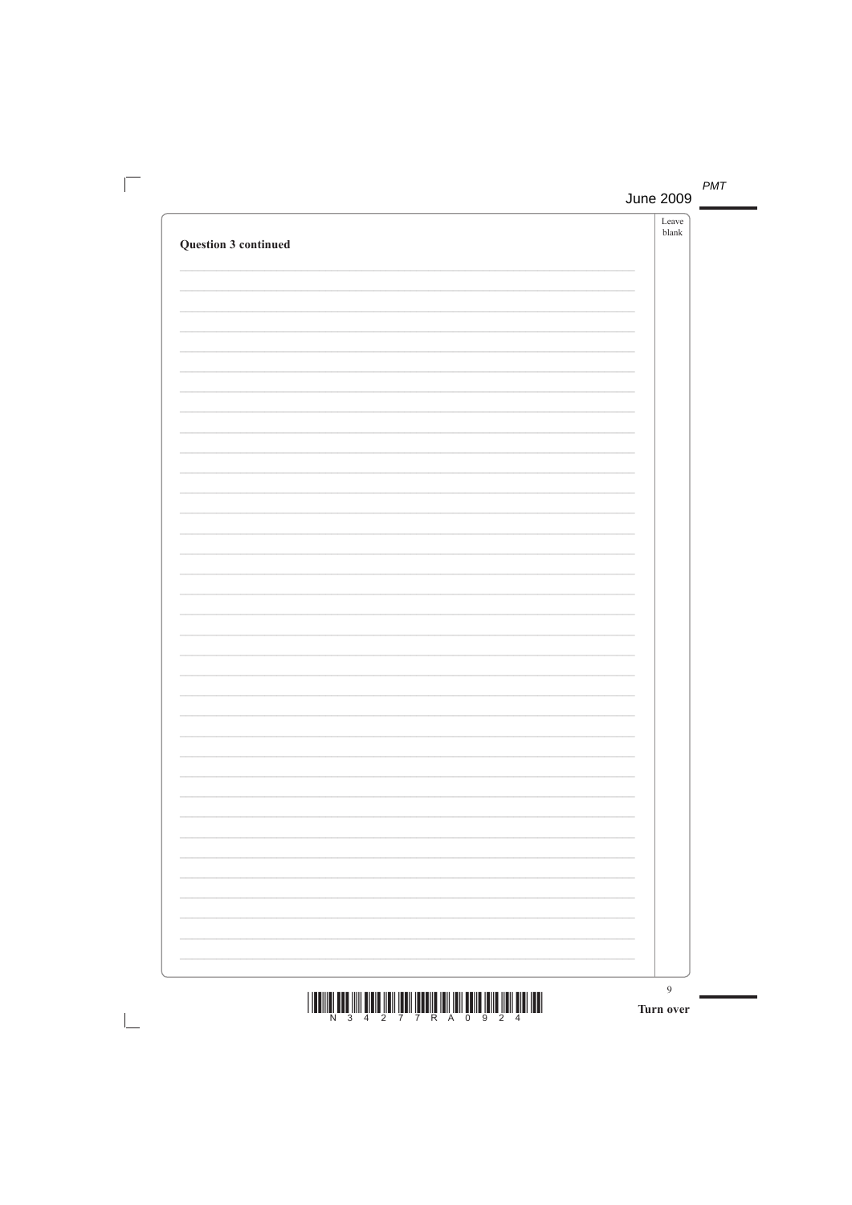|                             | ${\it Leave}$<br>${\it blank}$ |
|-----------------------------|--------------------------------|
| <b>Question 3 continued</b> |                                |
|                             |                                |
|                             |                                |
|                             |                                |
|                             |                                |
|                             |                                |
|                             |                                |
|                             |                                |
|                             |                                |
|                             |                                |
|                             |                                |
|                             |                                |
|                             |                                |
|                             |                                |
|                             |                                |
|                             |                                |
|                             |                                |
|                             |                                |
|                             |                                |
|                             |                                |
|                             |                                |
|                             |                                |
|                             |                                |
|                             |                                |
|                             |                                |
|                             |                                |
|                             |                                |
|                             |                                |
|                             |                                |
|                             |                                |
|                             |                                |
|                             |                                |
|                             |                                |
|                             |                                |
|                             |                                |
|                             |                                |
|                             |                                |
|                             |                                |
|                             |                                |
|                             | $\mathbf Q$                    |

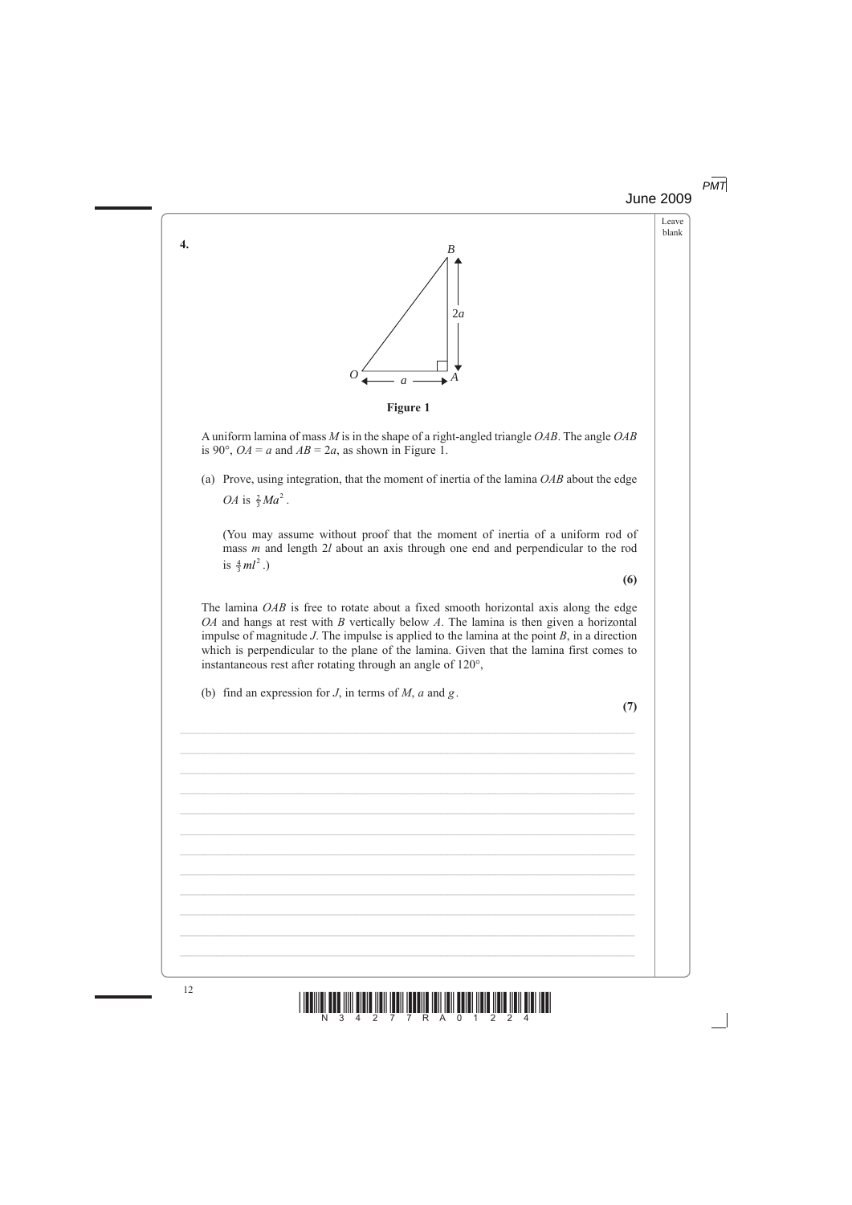## June 2009 *PMT*

Leave blank



 A uniform lamina of mass *M* is in the shape of a right-angled triangle *OAB*. The angle *OAB* is 90°,  $OA = a$  and  $AB = 2a$ , as shown in Figure 1.

 (a) Prove, using integration, that the moment of inertia of the lamina *OAB* about the edge *OA* is  $\frac{2}{3}Ma^2$ .

 (You may assume without proof that the moment of inertia of a uniform rod of mass *m* and length 2*l* about an axis through one end and perpendicular to the rod is  $\frac{4}{3}ml^2$ .)

 The lamina *OAB* is free to rotate about a fixed smooth horizontal axis along the edge *OA* and hangs at rest with *B* vertically below *A*. The lamina is then given a horizontal impulse of magnitude *J*. The impulse is applied to the lamina at the point *B*, in a direction which is perpendicular to the plane of the lamina. Given that the lamina first comes to instantaneous rest after rotating through an angle of 120°,

 $\mathcal{L}_\mathcal{L} = \mathcal{L}_\mathcal{L} = \mathcal{L}_\mathcal{L} = \mathcal{L}_\mathcal{L} = \mathcal{L}_\mathcal{L} = \mathcal{L}_\mathcal{L} = \mathcal{L}_\mathcal{L} = \mathcal{L}_\mathcal{L} = \mathcal{L}_\mathcal{L} = \mathcal{L}_\mathcal{L} = \mathcal{L}_\mathcal{L} = \mathcal{L}_\mathcal{L} = \mathcal{L}_\mathcal{L} = \mathcal{L}_\mathcal{L} = \mathcal{L}_\mathcal{L} = \mathcal{L}_\mathcal{L} = \mathcal{L}_\mathcal{L}$ 

\_\_\_\_\_\_\_\_\_\_\_\_\_\_\_\_\_\_\_\_\_\_\_\_\_\_\_\_\_\_\_\_\_\_\_\_\_\_\_\_\_\_\_\_\_\_\_\_\_\_\_\_\_\_\_\_\_\_\_\_\_\_\_\_\_\_\_\_\_\_\_\_\_\_\_

\_\_\_\_\_\_\_\_\_\_\_\_\_\_\_\_\_\_\_\_\_\_\_\_\_\_\_\_\_\_\_\_\_\_\_\_\_\_\_\_\_\_\_\_\_\_\_\_\_\_\_\_\_\_\_\_\_\_\_\_\_\_\_\_\_\_\_\_\_\_\_\_\_\_\_

\_\_\_\_\_\_\_\_\_\_\_\_\_\_\_\_\_\_\_\_\_\_\_\_\_\_\_\_\_\_\_\_\_\_\_\_\_\_\_\_\_\_\_\_\_\_\_\_\_\_\_\_\_\_\_\_\_\_\_\_\_\_\_\_\_\_\_\_\_\_\_\_\_\_\_

\_\_\_\_\_\_\_\_\_\_\_\_\_\_\_\_\_\_\_\_\_\_\_\_\_\_\_\_\_\_\_\_\_\_\_\_\_\_\_\_\_\_\_\_\_\_\_\_\_\_\_\_\_\_\_\_\_\_\_\_\_\_\_\_\_\_\_\_\_\_\_\_\_\_\_

(b) find an expression for *J*, in terms of *M*, *a* and *g* .

**(7)**

**(6)**



**4.**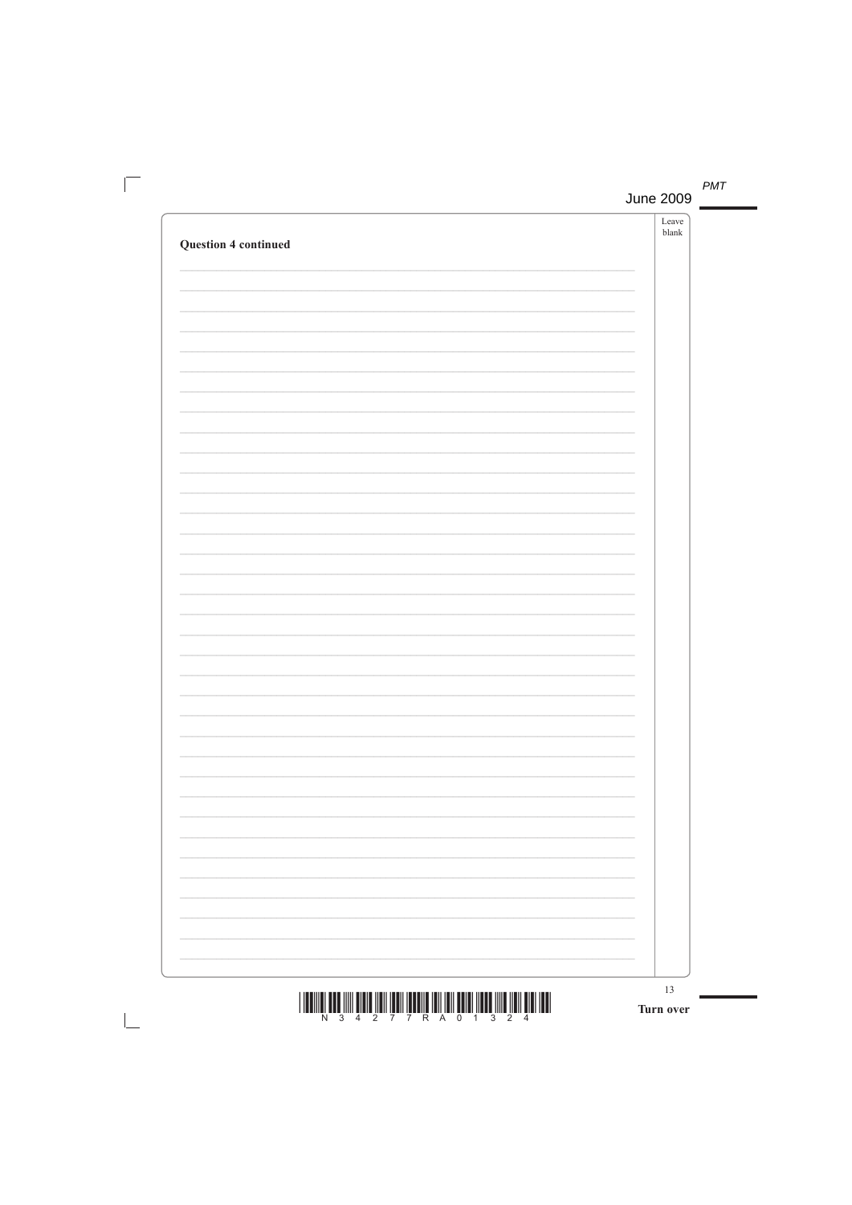| <b>Question 4 continued</b> | Leave<br>$\ensuremath{\textrm{blank}}$ |
|-----------------------------|----------------------------------------|
|                             |                                        |
|                             |                                        |
|                             |                                        |
|                             |                                        |
|                             |                                        |
|                             |                                        |
|                             | 13<br>Turn over                        |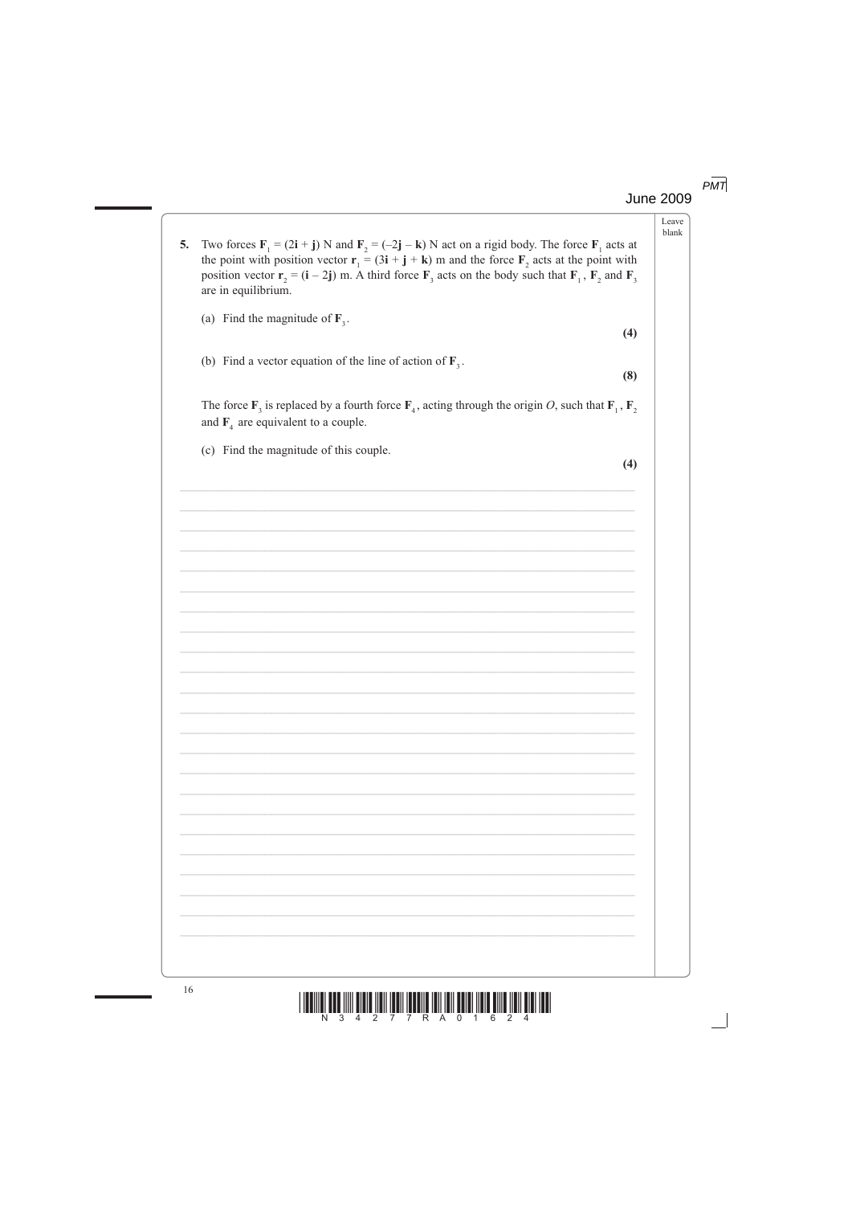$PMT$ **June 2009** 

> Leave blank

| 5. | Two forces $F_1 = (2i + j) N$ and $F_2 = (-2j - k) N$ act on a rigid body. The force $F_1$ acts at<br>the point with position vector $\mathbf{r}_1 = (3\mathbf{i} + \mathbf{j} + \mathbf{k})$ m and the force $\mathbf{F}_2$ acts at the point with<br>position vector $\mathbf{r}_2 = (\mathbf{i} - 2\mathbf{j})$ m. A third force $\mathbf{F}_3$ acts on the body such that $\mathbf{F}_1$ , $\mathbf{F}_2$ and $\mathbf{F}_3$<br>are in equilibrium. |  |
|----|---------------------------------------------------------------------------------------------------------------------------------------------------------------------------------------------------------------------------------------------------------------------------------------------------------------------------------------------------------------------------------------------------------------------------------------------------------|--|
|    | (a) Find the magnitude of $\mathbf{F}_3$ .                                                                                                                                                                                                                                                                                                                                                                                                              |  |
|    | (4)                                                                                                                                                                                                                                                                                                                                                                                                                                                     |  |
|    | (b) Find a vector equation of the line of action of $\mathbf{F}_3$ .                                                                                                                                                                                                                                                                                                                                                                                    |  |
|    | (8)                                                                                                                                                                                                                                                                                                                                                                                                                                                     |  |
|    |                                                                                                                                                                                                                                                                                                                                                                                                                                                         |  |
|    | The force $\mathbf{F}_3$ is replaced by a fourth force $\mathbf{F}_4$ , acting through the origin O, such that $\mathbf{F}_1$ , $\mathbf{F}_2$<br>and $\mathbf{F}_4$ are equivalent to a couple.                                                                                                                                                                                                                                                        |  |
|    | (c) Find the magnitude of this couple.                                                                                                                                                                                                                                                                                                                                                                                                                  |  |
|    | (4)                                                                                                                                                                                                                                                                                                                                                                                                                                                     |  |
|    |                                                                                                                                                                                                                                                                                                                                                                                                                                                         |  |
|    |                                                                                                                                                                                                                                                                                                                                                                                                                                                         |  |
|    |                                                                                                                                                                                                                                                                                                                                                                                                                                                         |  |
|    |                                                                                                                                                                                                                                                                                                                                                                                                                                                         |  |
|    |                                                                                                                                                                                                                                                                                                                                                                                                                                                         |  |
|    |                                                                                                                                                                                                                                                                                                                                                                                                                                                         |  |
|    |                                                                                                                                                                                                                                                                                                                                                                                                                                                         |  |
|    |                                                                                                                                                                                                                                                                                                                                                                                                                                                         |  |
|    |                                                                                                                                                                                                                                                                                                                                                                                                                                                         |  |
|    |                                                                                                                                                                                                                                                                                                                                                                                                                                                         |  |
|    |                                                                                                                                                                                                                                                                                                                                                                                                                                                         |  |
|    |                                                                                                                                                                                                                                                                                                                                                                                                                                                         |  |
|    |                                                                                                                                                                                                                                                                                                                                                                                                                                                         |  |
|    |                                                                                                                                                                                                                                                                                                                                                                                                                                                         |  |
|    |                                                                                                                                                                                                                                                                                                                                                                                                                                                         |  |
|    |                                                                                                                                                                                                                                                                                                                                                                                                                                                         |  |
|    |                                                                                                                                                                                                                                                                                                                                                                                                                                                         |  |
|    |                                                                                                                                                                                                                                                                                                                                                                                                                                                         |  |
|    |                                                                                                                                                                                                                                                                                                                                                                                                                                                         |  |
|    |                                                                                                                                                                                                                                                                                                                                                                                                                                                         |  |
|    |                                                                                                                                                                                                                                                                                                                                                                                                                                                         |  |
|    |                                                                                                                                                                                                                                                                                                                                                                                                                                                         |  |
|    |                                                                                                                                                                                                                                                                                                                                                                                                                                                         |  |
|    |                                                                                                                                                                                                                                                                                                                                                                                                                                                         |  |
|    |                                                                                                                                                                                                                                                                                                                                                                                                                                                         |  |
|    |                                                                                                                                                                                                                                                                                                                                                                                                                                                         |  |
|    |                                                                                                                                                                                                                                                                                                                                                                                                                                                         |  |
|    |                                                                                                                                                                                                                                                                                                                                                                                                                                                         |  |
|    |                                                                                                                                                                                                                                                                                                                                                                                                                                                         |  |

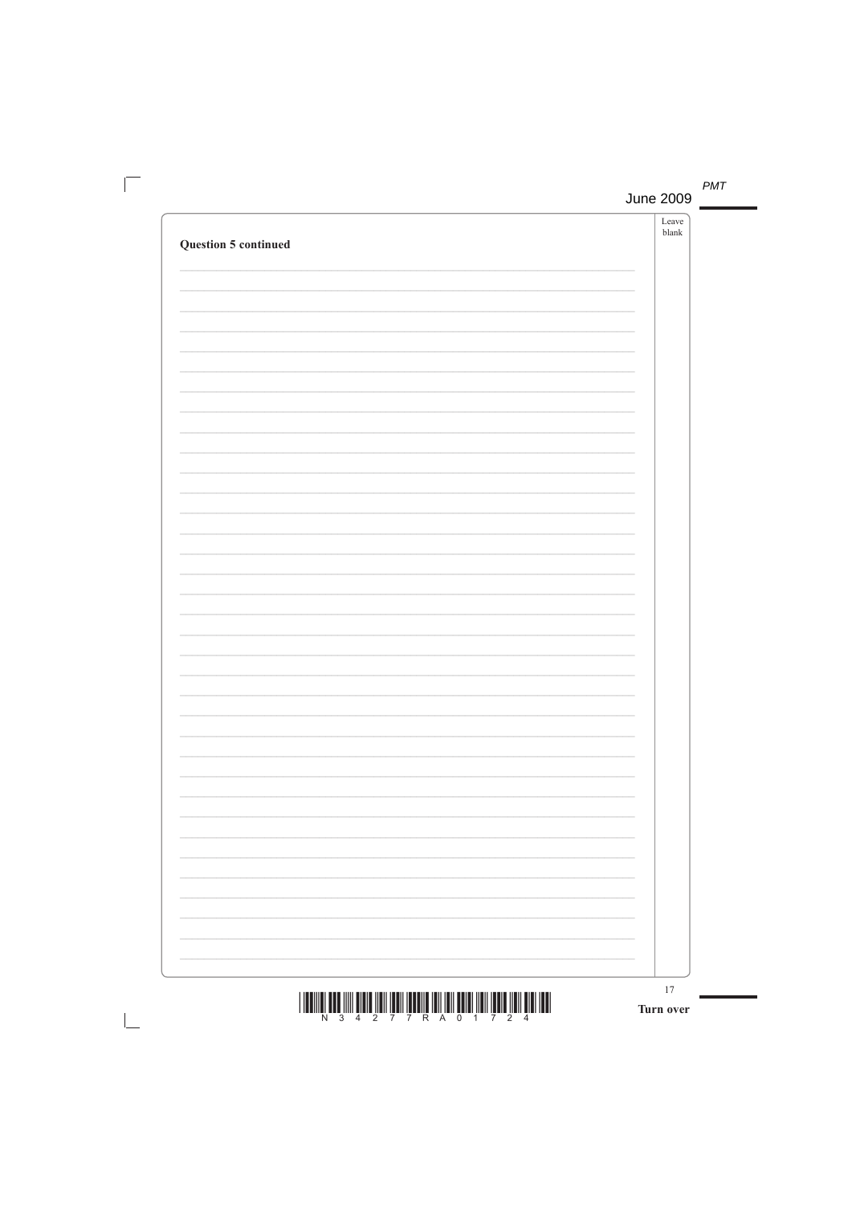| <b>Question 5 continued</b>                                                                                                                                                                                                                                                                                                                                                                                                                                   | Leave<br>$\ensuremath{\textrm{blank}}$ |
|---------------------------------------------------------------------------------------------------------------------------------------------------------------------------------------------------------------------------------------------------------------------------------------------------------------------------------------------------------------------------------------------------------------------------------------------------------------|----------------------------------------|
|                                                                                                                                                                                                                                                                                                                                                                                                                                                               |                                        |
|                                                                                                                                                                                                                                                                                                                                                                                                                                                               |                                        |
|                                                                                                                                                                                                                                                                                                                                                                                                                                                               |                                        |
|                                                                                                                                                                                                                                                                                                                                                                                                                                                               |                                        |
|                                                                                                                                                                                                                                                                                                                                                                                                                                                               |                                        |
|                                                                                                                                                                                                                                                                                                                                                                                                                                                               |                                        |
|                                                                                                                                                                                                                                                                                                                                                                                                                                                               |                                        |
|                                                                                                                                                                                                                                                                                                                                                                                                                                                               |                                        |
|                                                                                                                                                                                                                                                                                                                                                                                                                                                               |                                        |
|                                                                                                                                                                                                                                                                                                                                                                                                                                                               |                                        |
|                                                                                                                                                                                                                                                                                                                                                                                                                                                               |                                        |
|                                                                                                                                                                                                                                                                                                                                                                                                                                                               |                                        |
|                                                                                                                                                                                                                                                                                                                                                                                                                                                               |                                        |
|                                                                                                                                                                                                                                                                                                                                                                                                                                                               |                                        |
|                                                                                                                                                                                                                                                                                                                                                                                                                                                               |                                        |
|                                                                                                                                                                                                                                                                                                                                                                                                                                                               |                                        |
| $\begin{array}{c} \text{if} \ \text{if} \ \text{if} \ \text{if} \ \text{if} \ \text{if} \ \text{if} \ \text{if} \ \text{if} \ \text{if} \ \text{if} \ \text{if} \ \text{if} \ \text{if} \ \text{if} \ \text{if} \ \text{if} \ \text{if} \ \text{if} \ \text{if} \ \text{if} \ \text{if} \ \text{if} \ \text{if} \ \text{if} \ \text{if} \ \text{if} \ \text{if} \ \text{if} \ \text{if} \ \text{if} \ \text{if} \ \text{if} \ \text{if} \ \text{if} \ \text{$ | 17<br>Turn over                        |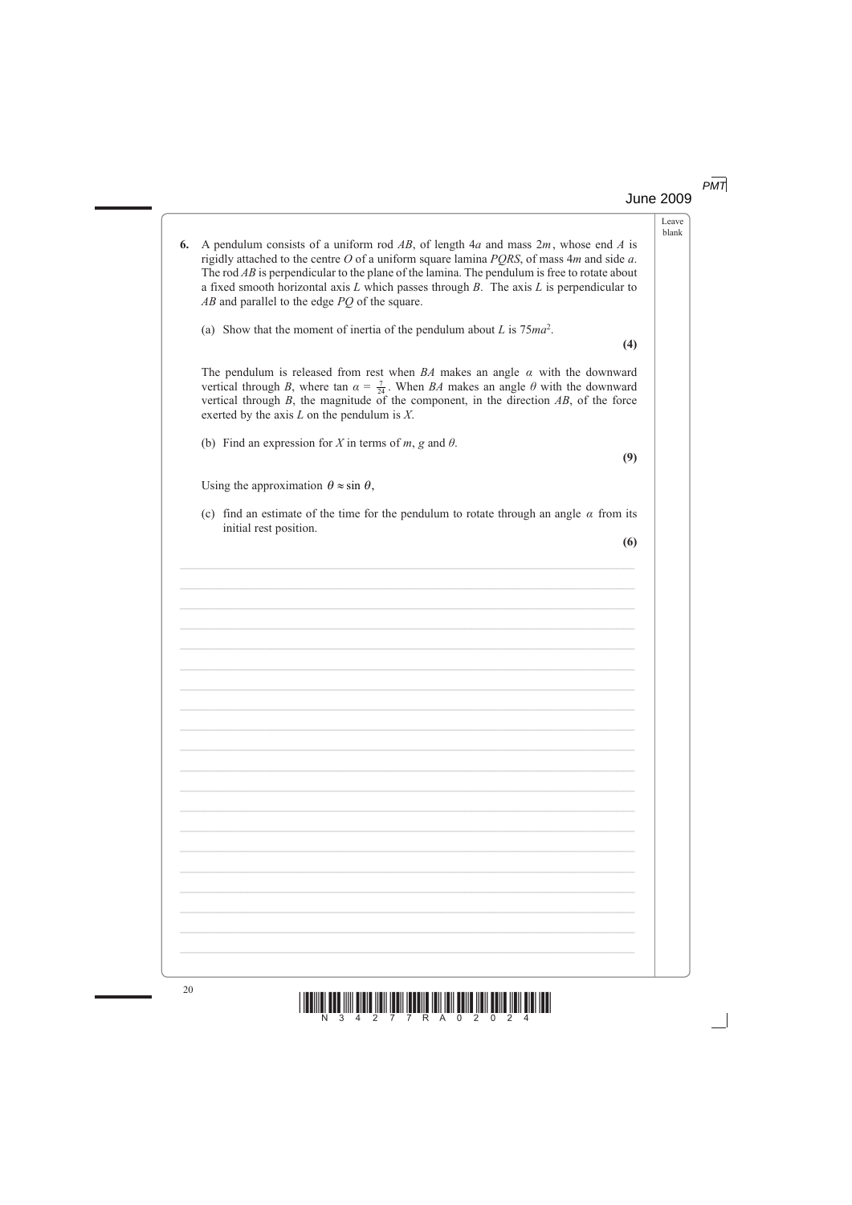# June 2009 *PMT*

Leave blank

| 6. | A pendulum consists of a uniform rod AB, of length $4a$ and mass $2m$ , whose end A is<br>rigidly attached to the centre $O$ of a uniform square lamina $PQRS$ , of mass $4m$ and side $a$ .<br>The rod $AB$ is perpendicular to the plane of the lamina. The pendulum is free to rotate about<br>a fixed smooth horizontal axis $L$ which passes through $B$ . The axis $L$ is perpendicular to<br>$AB$ and parallel to the edge $PQ$ of the square. |
|----|-------------------------------------------------------------------------------------------------------------------------------------------------------------------------------------------------------------------------------------------------------------------------------------------------------------------------------------------------------------------------------------------------------------------------------------------------------|
|    | (a) Show that the moment of inertia of the pendulum about L is $75ma^2$ .<br>(4)                                                                                                                                                                                                                                                                                                                                                                      |
|    | The pendulum is released from rest when $BA$ makes an angle $\alpha$ with the downward<br>vertical through B, where tan $\alpha = \frac{7}{24}$ . When BA makes an angle $\theta$ with the downward<br>vertical through $B$ , the magnitude of the component, in the direction $AB$ , of the force<br>exerted by the axis $L$ on the pendulum is $X$ .                                                                                                |
|    | (b) Find an expression for X in terms of m, g and $\theta$ .<br>(9)                                                                                                                                                                                                                                                                                                                                                                                   |
|    | Using the approximation $\theta \approx \sin \theta$ ,                                                                                                                                                                                                                                                                                                                                                                                                |
|    | (c) find an estimate of the time for the pendulum to rotate through an angle $\alpha$ from its<br>initial rest position.                                                                                                                                                                                                                                                                                                                              |
|    | (6)                                                                                                                                                                                                                                                                                                                                                                                                                                                   |
|    |                                                                                                                                                                                                                                                                                                                                                                                                                                                       |
|    |                                                                                                                                                                                                                                                                                                                                                                                                                                                       |
|    |                                                                                                                                                                                                                                                                                                                                                                                                                                                       |
|    |                                                                                                                                                                                                                                                                                                                                                                                                                                                       |
|    |                                                                                                                                                                                                                                                                                                                                                                                                                                                       |
|    |                                                                                                                                                                                                                                                                                                                                                                                                                                                       |
|    |                                                                                                                                                                                                                                                                                                                                                                                                                                                       |
|    |                                                                                                                                                                                                                                                                                                                                                                                                                                                       |
|    |                                                                                                                                                                                                                                                                                                                                                                                                                                                       |
|    |                                                                                                                                                                                                                                                                                                                                                                                                                                                       |
|    |                                                                                                                                                                                                                                                                                                                                                                                                                                                       |
|    |                                                                                                                                                                                                                                                                                                                                                                                                                                                       |
|    |                                                                                                                                                                                                                                                                                                                                                                                                                                                       |
|    |                                                                                                                                                                                                                                                                                                                                                                                                                                                       |